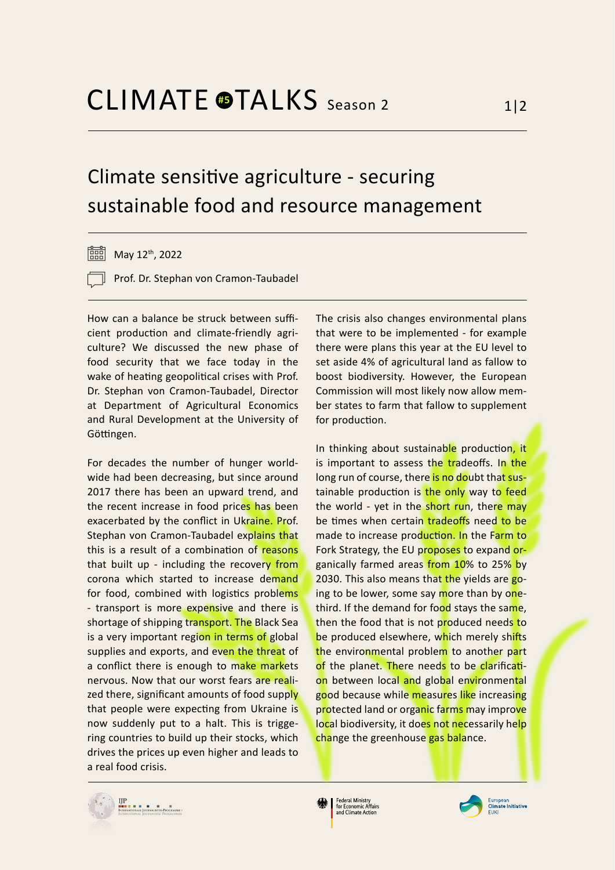## Climate sensitive agriculture - securing sustainable food and resource management

 $\boxed{=}$  May 12<sup>th</sup>, 2022

Prof. Dr. Stephan von Cramon-Taubadel

How can a balance be struck between sufficient production and climate-friendly agriculture? We discussed the new phase of food security that we face today in the wake of heating geopolitical crises with Prof. Dr. Stephan von Cramon-Taubadel, Director at Department of Agricultural Economics and Rural Development at the University of Göttingen.

For decades the number of hunger worldwide had been decreasing, but since around 2017 there has been an upward trend, and the recent increase in food prices has been exacerbated by the conflict in Ukraine. Prof. Stephan von Cramon-Taubadel explains that this is a result of a combination of reasons that built up - including the recovery from corona which started to increase demand for food, combined with logistics problems - transport is more expensive and there is shortage of shipping transport. The Black Sea is a very important region in terms of global supplies and exports, and even the threat of a conflict there is enough to make markets nervous. Now that our worst fears are realized there, significant amounts of food supply that people were expecting from Ukraine is now suddenly put to a halt. This is triggering countries to build up their stocks, which drives the prices up even higher and leads to a real food crisis.

The crisis also changes environmental plans that were to be implemented - for example there were plans this year at the EU level to set aside 4% of agricultural land as fallow to boost biodiversity. However, the European Commission will most likely now allow member states to farm that fallow to supplement for production.

In thinking about sustainable production, it is important to assess the tradeoffs. In the long run of course, there is no doubt that sustainable production is the only way to feed the world - yet in the short run, there may be times when certain tradeoffs need to be made to increase production. In the Farm to Fork Strategy, the EU proposes to expand organically farmed areas from 10% to 25% by 2030. This also means that the yields are going to be lower, some say more than by onethird. If the demand for food stays the same, then the food that is not produced needs to be produced elsewhere, which merely shifts the environmental problem to another part of the planet. There needs to be clarification between local and global environmental good because while measures like increasing protected land or organic farms may improve local biodiversity, it does not necessarily help change the greenhouse gas balance.